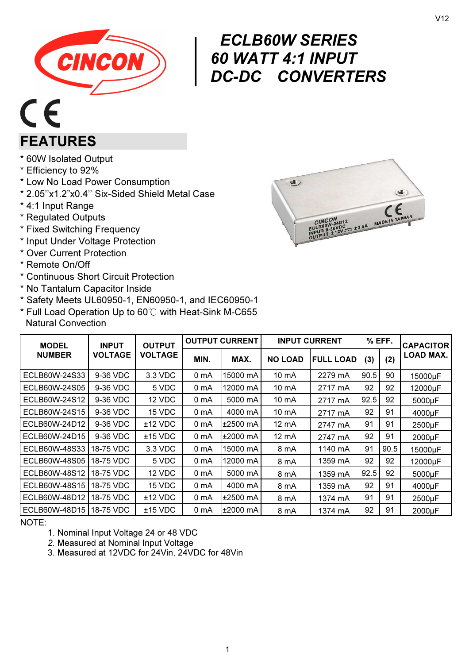

# $\left|\begin{array}{cc} E C \ \hline 60 \ \hline D C \end{array}\right|$ ECLB60W SERIES 60 WATT 4:1 INPUT DC-DC CONVERTERS

# $C\in$ FEATURES

- \* 60W Isolated Output
- \* Efficiency to 92%
- \* Low No Load Power Consumption
- \* 2.05''x1.2"x0.4'' Six-Sided Shield Metal Case
- \* 4:1 Input Range
- \* Regulated Outputs
- \* Fixed Switching Frequency
- \* Input Under Voltage Protection
- \* Over Current Protection
- \* Remote On/Off
- \* Continuous Short Circuit Protection
- \* No Tantalum Capacitor Inside
- \* Safety Meets UL60950-1, EN60950-1, and IEC60950-1
- \* Full Load Operation Up to 60℃ with Heat-Sink M-C655 Natural Convection

| <b>MODEL</b>  | <b>INPUT</b>   | <b>OUTPUT</b><br><b>VOLTAGE</b> | <b>OUTPUT CURRENT</b> |            | <b>INPUT CURRENT</b> |                  | % EFF. |      | <b>CAPACITOR</b> |
|---------------|----------------|---------------------------------|-----------------------|------------|----------------------|------------------|--------|------|------------------|
| <b>NUMBER</b> | <b>VOLTAGE</b> |                                 | MIN.                  | MAX.       | <b>NO LOAD</b>       | <b>FULL LOAD</b> | (3)    | (2)  | LOAD MAX.        |
| ECLB60W-24S33 | 9-36 VDC       | 3.3 VDC                         | 0 mA                  | 15000 mA   | 10 mA                | 2279 mA          | 90.5   | 90   | 15000µF          |
| ECLB60W-24S05 | 9-36 VDC       | 5 VDC                           | 0 mA                  | 12000 mA   | 10 mA                | 2717 mA          | 92     | 92   | 12000µF          |
| ECLB60W-24S12 | 9-36 VDC       | 12 VDC                          | 0 mA                  | 5000 mA    | 10 mA                | 2717 mA          | 92.5   | 92   | 5000µF           |
| ECLB60W-24S15 | 9-36 VDC       | 15 VDC                          | 0 <sub>m</sub> A      | 4000 mA    | 10 mA                | 2717 mA          | 92     | 91   | 4000µF           |
| ECLB60W-24D12 | 9-36 VDC       | $±12$ VDC                       | 0 mA                  | ±2500 mA   | 12 mA                | 2747 mA          | 91     | 91   | 2500µF           |
| ECLB60W-24D15 | 9-36 VDC       | $±15$ VDC                       | 0 mA                  | ±2000 mA   | 12 mA                | 2747 mA          | 92     | 91   | 2000µF           |
| ECLB60W-48S33 | 18-75 VDC      | 3.3 VDC                         | 0 mA                  | 15000 mA   | 8 mA                 | 1140 mA          | 91     | 90.5 | 15000µF          |
| ECLB60W-48S05 | 18-75 VDC      | 5 VDC                           | 0 <sub>m</sub> A      | 12000 mA   | 8 mA                 | 1359 mA          | 92     | 92   | 12000µF          |
| ECLB60W-48S12 | 18-75 VDC      | 12 VDC                          | 0 mA                  | 5000 mA    | 8 mA                 | 1359 mA          | 92.5   | 92   | 5000µF           |
| ECLB60W-48S15 | 18-75 VDC      | 15 VDC                          | 0 mA                  | 4000 mA    | 8 mA                 | 1359 mA          | 92     | 91   | 4000µF           |
| ECLB60W-48D12 | 18-75 VDC      | $±12$ VDC                       | 0 mA                  | $±2500$ mA | 8 mA                 | 1374 mA          | 91     | 91   | 2500µF           |
| ECLB60W-48D15 | 18-75 VDC      | $±15$ VDC                       | 0 mA                  | l±2000 mA  | 8 mA                 | 1374 mA          | 92     | 91   | 2000µF           |

NOTE:

- 1. Nominal Input Voltage 24 or 48 VDC
- 2. Measured at Nominal Input Voltage
- 3. Measured at 12VDC for 24Vin, 24VDC for 48Vin